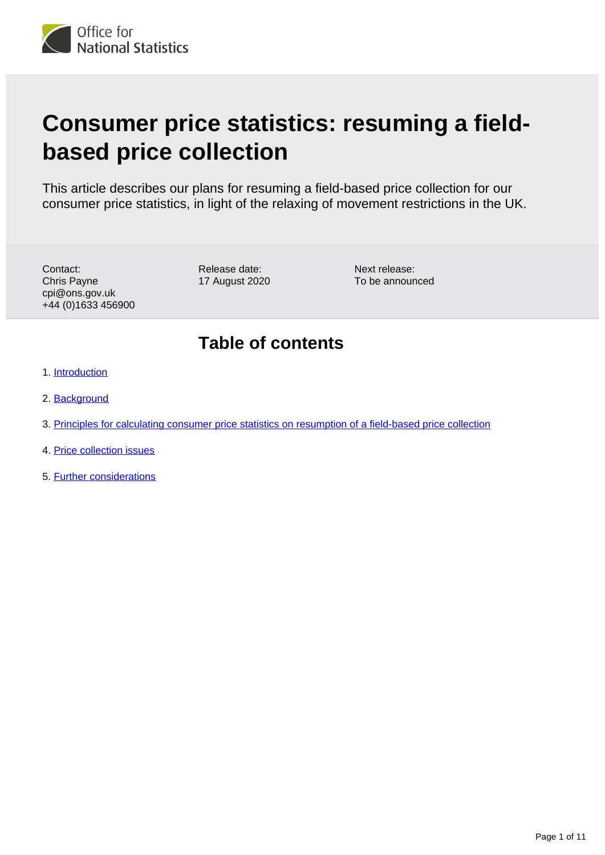

# **Consumer price statistics: resuming a fieldbased price collection**

This article describes our plans for resuming a field-based price collection for our consumer price statistics, in light of the relaxing of movement restrictions in the UK.

Contact: Chris Payne cpi@ons.gov.uk +44 (0)1633 456900 Release date: 17 August 2020

Next release: To be announced

## **Table of contents**

- 1. [Introduction](#page-1-0)
- 2. [Background](#page-1-1)
- 3. [Principles for calculating consumer price statistics on resumption of a field-based price collection](#page-2-0)
- 4. [Price collection issues](#page-4-0)
- 5. [Further considerations](#page-10-0)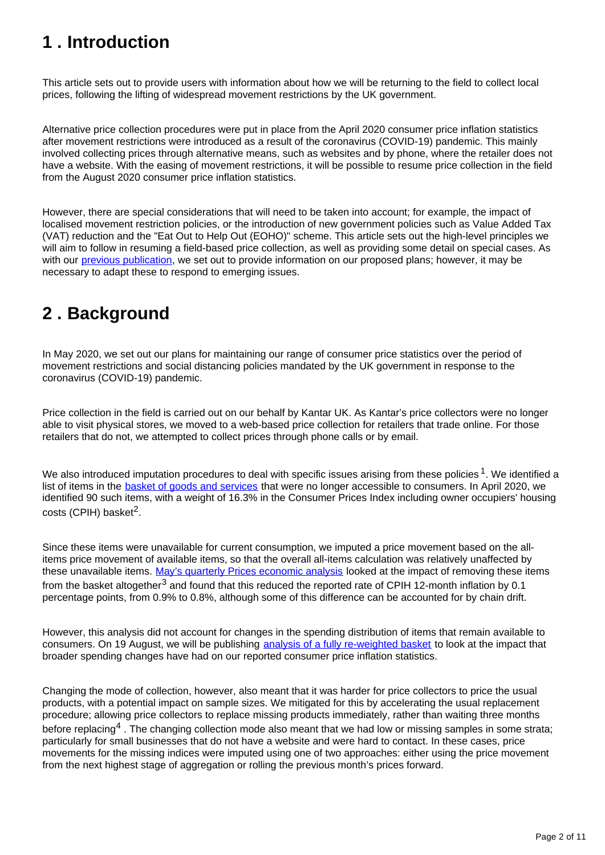## <span id="page-1-0"></span>**1 . Introduction**

This article sets out to provide users with information about how we will be returning to the field to collect local prices, following the lifting of widespread movement restrictions by the UK government.

Alternative price collection procedures were put in place from the April 2020 consumer price inflation statistics after movement restrictions were introduced as a result of the coronavirus (COVID-19) pandemic. This mainly involved collecting prices through alternative means, such as websites and by phone, where the retailer does not have a website. With the easing of movement restrictions, it will be possible to resume price collection in the field from the August 2020 consumer price inflation statistics.

However, there are special considerations that will need to be taken into account; for example, the impact of localised movement restriction policies, or the introduction of new government policies such as Value Added Tax (VAT) reduction and the "Eat Out to Help Out (EOHO)" scheme. This article sets out the high-level principles we will aim to follow in resuming a field-based price collection, as well as providing some detail on special cases. As with our [previous publication](https://www.ons.gov.uk/economy/inflationandpriceindices/articles/coronavirusandtheeffectsonukprices/2020-05-06), we set out to provide information on our proposed plans; however, it may be necessary to adapt these to respond to emerging issues.

## <span id="page-1-1"></span>**2 . Background**

In May 2020, we set out our plans for maintaining our range of consumer price statistics over the period of movement restrictions and social distancing policies mandated by the UK government in response to the coronavirus (COVID-19) pandemic.

Price collection in the field is carried out on our behalf by Kantar UK. As Kantar's price collectors were no longer able to visit physical stores, we moved to a web-based price collection for retailers that trade online. For those retailers that do not, we attempted to collect prices through phone calls or by email.

We also introduced imputation procedures to deal with specific issues arising from these policies  $1$ . We identified a list of items in the [basket of goods and services](https://www.ons.gov.uk/economy/inflationandpriceindices/articles/ukconsumerpriceinflationbasketofgoodsandservices/latest) that were no longer accessible to consumers. In April 2020, we identified 90 such items, with a weight of 16.3% in the Consumer Prices Index including owner occupiers' housing  $costs$  (CPIH) basket<sup>2</sup>.

Since these items were unavailable for current consumption, we imputed a price movement based on the allitems price movement of available items, so that the overall all-items calculation was relatively unaffected by these unavailable items. [May's quarterly Prices economic analysis](https://www.ons.gov.uk/economy/inflationandpriceindices/articles/priceseconomicanalysisquarterly/latest) looked at the impact of removing these items from the basket altogether<sup>3</sup> and found that this reduced the reported rate of CPIH 12-month inflation by 0.1 percentage points, from 0.9% to 0.8%, although some of this difference can be accounted for by chain drift.

However, this analysis did not account for changes in the spending distribution of items that remain available to consumers. On 19 August, we will be publishing [analysis of a fully re-weighted basket](https://www.ons.gov.uk/releases/priceseconomicanalysisquarterlyaugust2020) to look at the impact that broader spending changes have had on our reported consumer price inflation statistics.

Changing the mode of collection, however, also meant that it was harder for price collectors to price the usual products, with a potential impact on sample sizes. We mitigated for this by accelerating the usual replacement procedure; allowing price collectors to replace missing products immediately, rather than waiting three months before replacing <sup>4</sup>. The changing collection mode also meant that we had low or missing samples in some strata; particularly for small businesses that do not have a website and were hard to contact. In these cases, price movements for the missing indices were imputed using one of two approaches: either using the price movement from the next highest stage of aggregation or rolling the previous month's prices forward.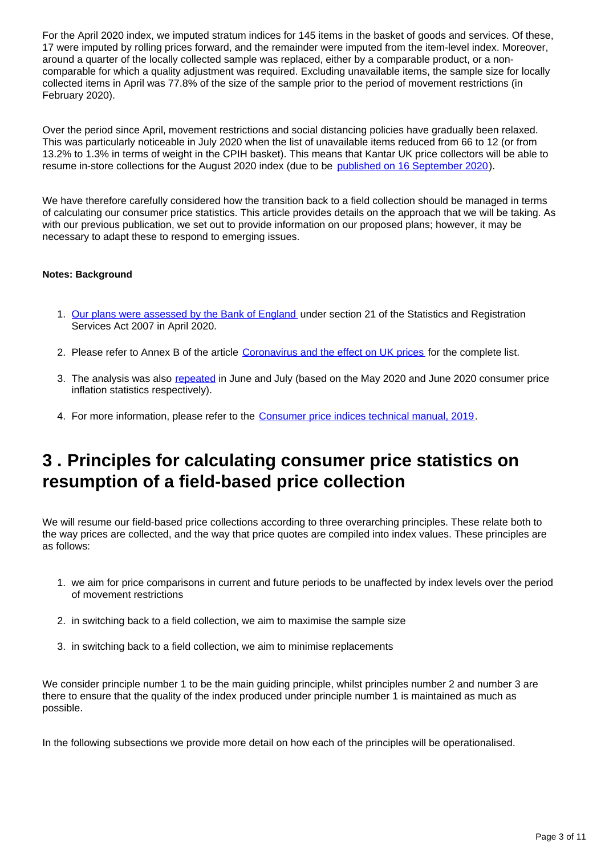For the April 2020 index, we imputed stratum indices for 145 items in the basket of goods and services. Of these, 17 were imputed by rolling prices forward, and the remainder were imputed from the item-level index. Moreover, around a quarter of the locally collected sample was replaced, either by a comparable product, or a noncomparable for which a quality adjustment was required. Excluding unavailable items, the sample size for locally collected items in April was 77.8% of the size of the sample prior to the period of movement restrictions (in February 2020).

Over the period since April, movement restrictions and social distancing policies have gradually been relaxed. This was particularly noticeable in July 2020 when the list of unavailable items reduced from 66 to 12 (or from 13.2% to 1.3% in terms of weight in the CPIH basket). This means that Kantar UK price collectors will be able to resume in-store collections for the August 2020 index (due to be [published on 16 September 2020](https://www.ons.gov.uk/releases/consumerpriceinflationukaugust2020)).

We have therefore carefully considered how the transition back to a field collection should be managed in terms of calculating our consumer price statistics. This article provides details on the approach that we will be taking. As with our previous publication, we set out to provide information on our proposed plans; however, it may be necessary to adapt these to respond to emerging issues.

#### **Notes: Background**

- 1. [Our plans were assessed by the Bank of England](https://www.ons.gov.uk/news/statementsandletters/correspondenceonproposedchangestotheretailpriceindexrpi) under section 21 of the Statistics and Registration Services Act 2007 in April 2020.
- 2. Please refer to Annex B of the article [Coronavirus and the effect on UK prices](https://www.ons.gov.uk/economy/inflationandpriceindices/articles/coronavirusandtheeffectsonukprices/2020-05-06) for the complete list.
- 3. The analysis was also [repeated](https://www.ons.gov.uk/economy/inflationandpriceindices/articles/consumerpricesalternativebasketanalysis/previousReleases) in June and July (based on the May 2020 and June 2020 consumer price inflation statistics respectively).
- 4. For more information, please refer to the [Consumer price indices technical manual, 2019.](https://www.ons.gov.uk/economy/inflationandpriceindices/methodologies/consumerpricesindicestechnicalmanual2019)

## <span id="page-2-0"></span>**3 . Principles for calculating consumer price statistics on resumption of a field-based price collection**

We will resume our field-based price collections according to three overarching principles. These relate both to the way prices are collected, and the way that price quotes are compiled into index values. These principles are as follows:

- 1. we aim for price comparisons in current and future periods to be unaffected by index levels over the period of movement restrictions
- 2. in switching back to a field collection, we aim to maximise the sample size
- 3. in switching back to a field collection, we aim to minimise replacements

We consider principle number 1 to be the main guiding principle, whilst principles number 2 and number 3 are there to ensure that the quality of the index produced under principle number 1 is maintained as much as possible.

In the following subsections we provide more detail on how each of the principles will be operationalised.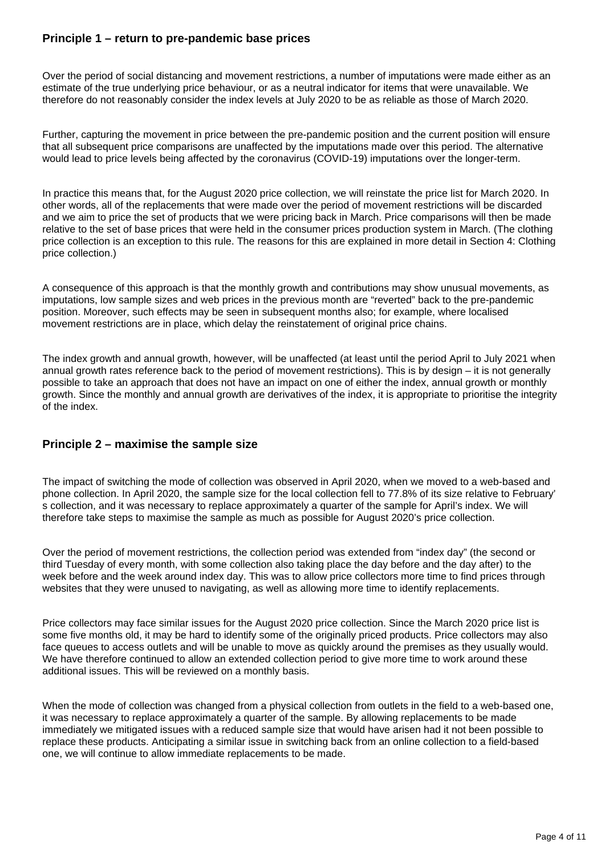#### **Principle 1 – return to pre-pandemic base prices**

Over the period of social distancing and movement restrictions, a number of imputations were made either as an estimate of the true underlying price behaviour, or as a neutral indicator for items that were unavailable. We therefore do not reasonably consider the index levels at July 2020 to be as reliable as those of March 2020.

Further, capturing the movement in price between the pre-pandemic position and the current position will ensure that all subsequent price comparisons are unaffected by the imputations made over this period. The alternative would lead to price levels being affected by the coronavirus (COVID-19) imputations over the longer-term.

In practice this means that, for the August 2020 price collection, we will reinstate the price list for March 2020. In other words, all of the replacements that were made over the period of movement restrictions will be discarded and we aim to price the set of products that we were pricing back in March. Price comparisons will then be made relative to the set of base prices that were held in the consumer prices production system in March. (The clothing price collection is an exception to this rule. The reasons for this are explained in more detail in Section 4: Clothing price collection.)

A consequence of this approach is that the monthly growth and contributions may show unusual movements, as imputations, low sample sizes and web prices in the previous month are "reverted" back to the pre-pandemic position. Moreover, such effects may be seen in subsequent months also; for example, where localised movement restrictions are in place, which delay the reinstatement of original price chains.

The index growth and annual growth, however, will be unaffected (at least until the period April to July 2021 when annual growth rates reference back to the period of movement restrictions). This is by design – it is not generally possible to take an approach that does not have an impact on one of either the index, annual growth or monthly growth. Since the monthly and annual growth are derivatives of the index, it is appropriate to prioritise the integrity of the index.

#### **Principle 2 – maximise the sample size**

The impact of switching the mode of collection was observed in April 2020, when we moved to a web-based and phone collection. In April 2020, the sample size for the local collection fell to 77.8% of its size relative to February' s collection, and it was necessary to replace approximately a quarter of the sample for April's index. We will therefore take steps to maximise the sample as much as possible for August 2020's price collection.

Over the period of movement restrictions, the collection period was extended from "index day" (the second or third Tuesday of every month, with some collection also taking place the day before and the day after) to the week before and the week around index day. This was to allow price collectors more time to find prices through websites that they were unused to navigating, as well as allowing more time to identify replacements.

Price collectors may face similar issues for the August 2020 price collection. Since the March 2020 price list is some five months old, it may be hard to identify some of the originally priced products. Price collectors may also face queues to access outlets and will be unable to move as quickly around the premises as they usually would. We have therefore continued to allow an extended collection period to give more time to work around these additional issues. This will be reviewed on a monthly basis.

When the mode of collection was changed from a physical collection from outlets in the field to a web-based one, it was necessary to replace approximately a quarter of the sample. By allowing replacements to be made immediately we mitigated issues with a reduced sample size that would have arisen had it not been possible to replace these products. Anticipating a similar issue in switching back from an online collection to a field-based one, we will continue to allow immediate replacements to be made.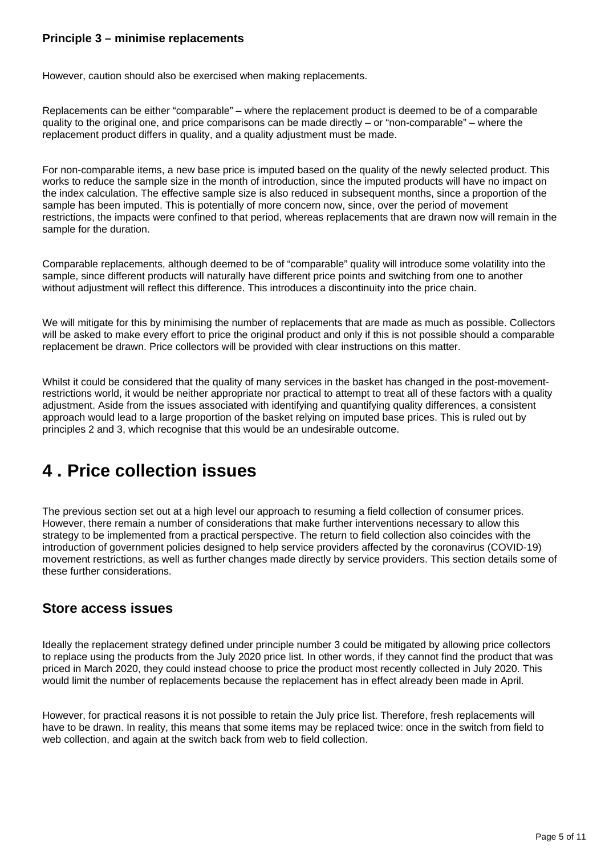#### **Principle 3 – minimise replacements**

However, caution should also be exercised when making replacements.

Replacements can be either "comparable" – where the replacement product is deemed to be of a comparable quality to the original one, and price comparisons can be made directly – or "non-comparable" – where the replacement product differs in quality, and a quality adjustment must be made.

For non-comparable items, a new base price is imputed based on the quality of the newly selected product. This works to reduce the sample size in the month of introduction, since the imputed products will have no impact on the index calculation. The effective sample size is also reduced in subsequent months, since a proportion of the sample has been imputed. This is potentially of more concern now, since, over the period of movement restrictions, the impacts were confined to that period, whereas replacements that are drawn now will remain in the sample for the duration.

Comparable replacements, although deemed to be of "comparable" quality will introduce some volatility into the sample, since different products will naturally have different price points and switching from one to another without adjustment will reflect this difference. This introduces a discontinuity into the price chain.

We will mitigate for this by minimising the number of replacements that are made as much as possible. Collectors will be asked to make every effort to price the original product and only if this is not possible should a comparable replacement be drawn. Price collectors will be provided with clear instructions on this matter.

Whilst it could be considered that the quality of many services in the basket has changed in the post-movementrestrictions world, it would be neither appropriate nor practical to attempt to treat all of these factors with a quality adjustment. Aside from the issues associated with identifying and quantifying quality differences, a consistent approach would lead to a large proportion of the basket relying on imputed base prices. This is ruled out by principles 2 and 3, which recognise that this would be an undesirable outcome.

### <span id="page-4-0"></span>**4 . Price collection issues**

The previous section set out at a high level our approach to resuming a field collection of consumer prices. However, there remain a number of considerations that make further interventions necessary to allow this strategy to be implemented from a practical perspective. The return to field collection also coincides with the introduction of government policies designed to help service providers affected by the coronavirus (COVID-19) movement restrictions, as well as further changes made directly by service providers. This section details some of these further considerations.

#### **Store access issues**

Ideally the replacement strategy defined under principle number 3 could be mitigated by allowing price collectors to replace using the products from the July 2020 price list. In other words, if they cannot find the product that was priced in March 2020, they could instead choose to price the product most recently collected in July 2020. This would limit the number of replacements because the replacement has in effect already been made in April.

However, for practical reasons it is not possible to retain the July price list. Therefore, fresh replacements will have to be drawn. In reality, this means that some items may be replaced twice: once in the switch from field to web collection, and again at the switch back from web to field collection.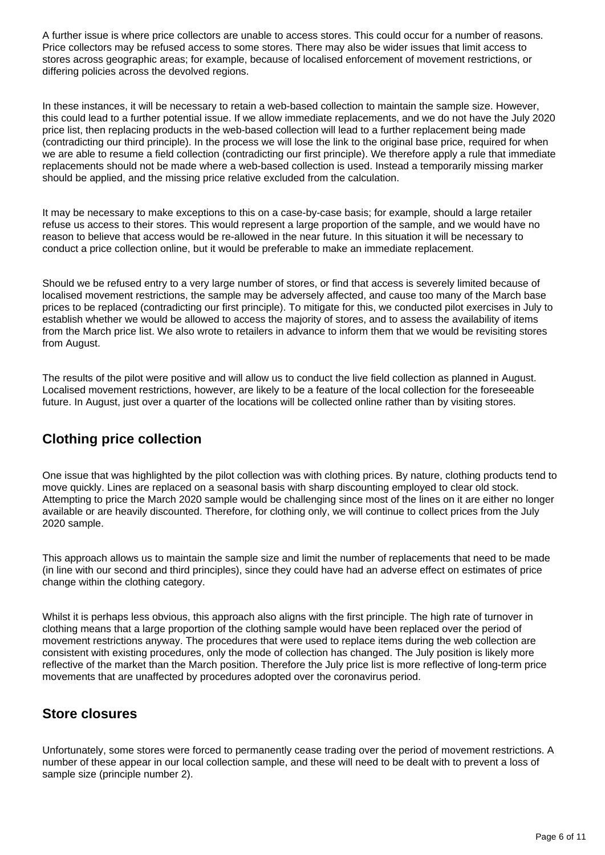A further issue is where price collectors are unable to access stores. This could occur for a number of reasons. Price collectors may be refused access to some stores. There may also be wider issues that limit access to stores across geographic areas; for example, because of localised enforcement of movement restrictions, or differing policies across the devolved regions.

In these instances, it will be necessary to retain a web-based collection to maintain the sample size. However, this could lead to a further potential issue. If we allow immediate replacements, and we do not have the July 2020 price list, then replacing products in the web-based collection will lead to a further replacement being made (contradicting our third principle). In the process we will lose the link to the original base price, required for when we are able to resume a field collection (contradicting our first principle). We therefore apply a rule that immediate replacements should not be made where a web-based collection is used. Instead a temporarily missing marker should be applied, and the missing price relative excluded from the calculation.

It may be necessary to make exceptions to this on a case-by-case basis; for example, should a large retailer refuse us access to their stores. This would represent a large proportion of the sample, and we would have no reason to believe that access would be re-allowed in the near future. In this situation it will be necessary to conduct a price collection online, but it would be preferable to make an immediate replacement.

Should we be refused entry to a very large number of stores, or find that access is severely limited because of localised movement restrictions, the sample may be adversely affected, and cause too many of the March base prices to be replaced (contradicting our first principle). To mitigate for this, we conducted pilot exercises in July to establish whether we would be allowed to access the majority of stores, and to assess the availability of items from the March price list. We also wrote to retailers in advance to inform them that we would be revisiting stores from August.

The results of the pilot were positive and will allow us to conduct the live field collection as planned in August. Localised movement restrictions, however, are likely to be a feature of the local collection for the foreseeable future. In August, just over a quarter of the locations will be collected online rather than by visiting stores.

#### **Clothing price collection**

One issue that was highlighted by the pilot collection was with clothing prices. By nature, clothing products tend to move quickly. Lines are replaced on a seasonal basis with sharp discounting employed to clear old stock. Attempting to price the March 2020 sample would be challenging since most of the lines on it are either no longer available or are heavily discounted. Therefore, for clothing only, we will continue to collect prices from the July 2020 sample.

This approach allows us to maintain the sample size and limit the number of replacements that need to be made (in line with our second and third principles), since they could have had an adverse effect on estimates of price change within the clothing category.

Whilst it is perhaps less obvious, this approach also aligns with the first principle. The high rate of turnover in clothing means that a large proportion of the clothing sample would have been replaced over the period of movement restrictions anyway. The procedures that were used to replace items during the web collection are consistent with existing procedures, only the mode of collection has changed. The July position is likely more reflective of the market than the March position. Therefore the July price list is more reflective of long-term price movements that are unaffected by procedures adopted over the coronavirus period.

#### **Store closures**

Unfortunately, some stores were forced to permanently cease trading over the period of movement restrictions. A number of these appear in our local collection sample, and these will need to be dealt with to prevent a loss of sample size (principle number 2).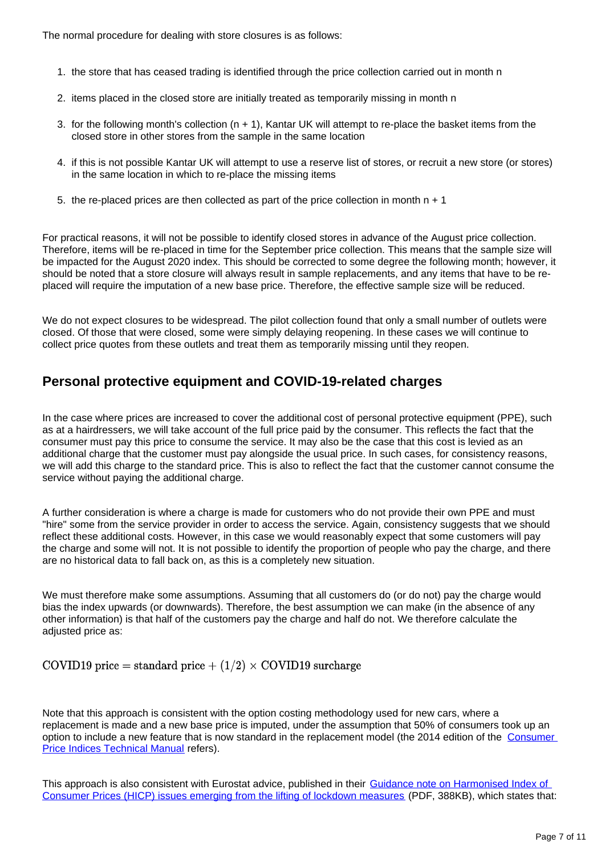The normal procedure for dealing with store closures is as follows:

- 1. the store that has ceased trading is identified through the price collection carried out in month n
- 2. items placed in the closed store are initially treated as temporarily missing in month n
- 3. for the following month's collection (n + 1), Kantar UK will attempt to re-place the basket items from the closed store in other stores from the sample in the same location
- 4. if this is not possible Kantar UK will attempt to use a reserve list of stores, or recruit a new store (or stores) in the same location in which to re-place the missing items
- 5. the re-placed prices are then collected as part of the price collection in month  $n + 1$

For practical reasons, it will not be possible to identify closed stores in advance of the August price collection. Therefore, items will be re-placed in time for the September price collection. This means that the sample size will be impacted for the August 2020 index. This should be corrected to some degree the following month; however, it should be noted that a store closure will always result in sample replacements, and any items that have to be replaced will require the imputation of a new base price. Therefore, the effective sample size will be reduced.

We do not expect closures to be widespread. The pilot collection found that only a small number of outlets were closed. Of those that were closed, some were simply delaying reopening. In these cases we will continue to collect price quotes from these outlets and treat them as temporarily missing until they reopen.

#### **Personal protective equipment and COVID-19-related charges**

In the case where prices are increased to cover the additional cost of personal protective equipment (PPE), such as at a hairdressers, we will take account of the full price paid by the consumer. This reflects the fact that the consumer must pay this price to consume the service. It may also be the case that this cost is levied as an additional charge that the customer must pay alongside the usual price. In such cases, for consistency reasons, we will add this charge to the standard price. This is also to reflect the fact that the customer cannot consume the service without paying the additional charge.

A further consideration is where a charge is made for customers who do not provide their own PPE and must "hire" some from the service provider in order to access the service. Again, consistency suggests that we should reflect these additional costs. However, in this case we would reasonably expect that some customers will pay the charge and some will not. It is not possible to identify the proportion of people who pay the charge, and there are no historical data to fall back on, as this is a completely new situation.

We must therefore make some assumptions. Assuming that all customers do (or do not) pay the charge would bias the index upwards (or downwards). Therefore, the best assumption we can make (in the absence of any other information) is that half of the customers pay the charge and half do not. We therefore calculate the adjusted price as:

COVID19 price = standard price +  $(1/2) \times$  COVID19 surcharge

Note that this approach is consistent with the option costing methodology used for new cars, where a replacement is made and a new base price is imputed, under the assumption that 50% of consumers took up an option to include a new feature that is now standard in the replacement model (the 2014 edition of the Consumer [Price Indices Technical Manual](https://webarchive.nationalarchives.gov.uk/20160129083725/http://www.ons.gov.uk/ons/rel/cpi/consumer-price-indices---technical-manual/2014/index.html) refers).

This approach is also consistent with Eurostat advice, published in their [Guidance note on Harmonised Index of](https://ec.europa.eu/eurostat/documents/10186/10693286/HICP_lifting_lockdown_measures_guidance.pdf)  [Consumer Prices \(HICP\) issues emerging from the lifting of lockdown measures](https://ec.europa.eu/eurostat/documents/10186/10693286/HICP_lifting_lockdown_measures_guidance.pdf) (PDF, 388KB), which states that: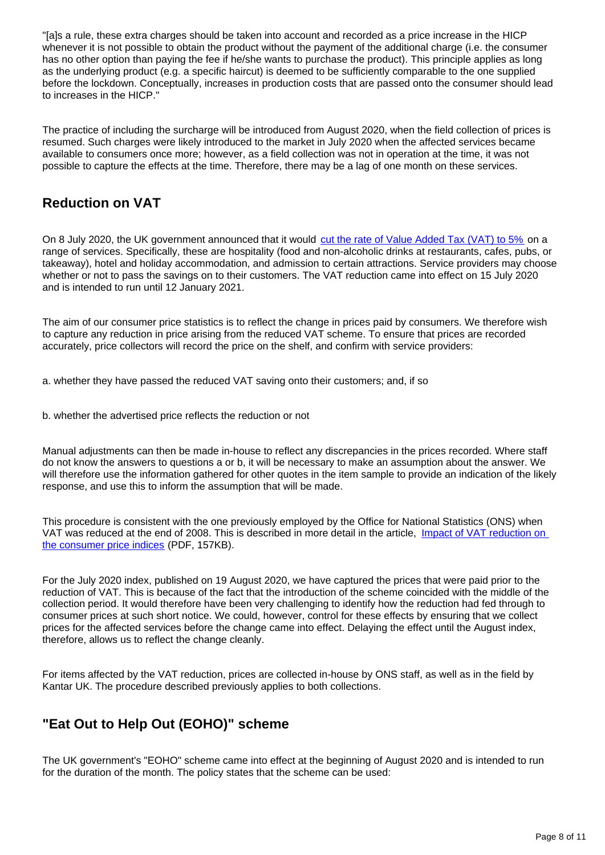"[a]s a rule, these extra charges should be taken into account and recorded as a price increase in the HICP whenever it is not possible to obtain the product without the payment of the additional charge (i.e. the consumer has no other option than paying the fee if he/she wants to purchase the product). This principle applies as long as the underlying product (e.g. a specific haircut) is deemed to be sufficiently comparable to the one supplied before the lockdown. Conceptually, increases in production costs that are passed onto the consumer should lead to increases in the HICP."

The practice of including the surcharge will be introduced from August 2020, when the field collection of prices is resumed. Such charges were likely introduced to the market in July 2020 when the affected services became available to consumers once more; however, as a field collection was not in operation at the time, it was not possible to capture the effects at the time. Therefore, there may be a lag of one month on these services.

#### **Reduction on VAT**

On 8 July 2020, the UK government announced that it would [cut the rate of Value Added Tax \(VAT\) to 5%](https://www.gov.uk/guidance/vat-reduced-rate-for-hospitality-holiday-accommodation-and-attractions) on a range of services. Specifically, these are hospitality (food and non-alcoholic drinks at restaurants, cafes, pubs, or takeaway), hotel and holiday accommodation, and admission to certain attractions. Service providers may choose whether or not to pass the savings on to their customers. The VAT reduction came into effect on 15 July 2020 and is intended to run until 12 January 2021.

The aim of our consumer price statistics is to reflect the change in prices paid by consumers. We therefore wish to capture any reduction in price arising from the reduced VAT scheme. To ensure that prices are recorded accurately, price collectors will record the price on the shelf, and confirm with service providers:

a. whether they have passed the reduced VAT saving onto their customers; and, if so

b. whether the advertised price reflects the reduction or not

Manual adjustments can then be made in-house to reflect any discrepancies in the prices recorded. Where staff do not know the answers to questions a or b, it will be necessary to make an assumption about the answer. We will therefore use the information gathered for other quotes in the item sample to provide an indication of the likely response, and use this to inform the assumption that will be made.

This procedure is consistent with the one previously employed by the Office for National Statistics (ONS) when VAT was reduced at the end of 2008. This is described in more detail in the article, Impact of VAT reduction on [the consumer price indices](https://link.springer.com/content/pdf/10.1057/elmr.2009.139.pdf) (PDF, 157KB).

For the July 2020 index, published on 19 August 2020, we have captured the prices that were paid prior to the reduction of VAT. This is because of the fact that the introduction of the scheme coincided with the middle of the collection period. It would therefore have been very challenging to identify how the reduction had fed through to consumer prices at such short notice. We could, however, control for these effects by ensuring that we collect prices for the affected services before the change came into effect. Delaying the effect until the August index, therefore, allows us to reflect the change cleanly.

For items affected by the VAT reduction, prices are collected in-house by ONS staff, as well as in the field by Kantar UK. The procedure described previously applies to both collections.

#### **"Eat Out to Help Out (EOHO)" scheme**

The UK government's "EOHO" scheme came into effect at the beginning of August 2020 and is intended to run for the duration of the month. The policy states that the scheme can be used: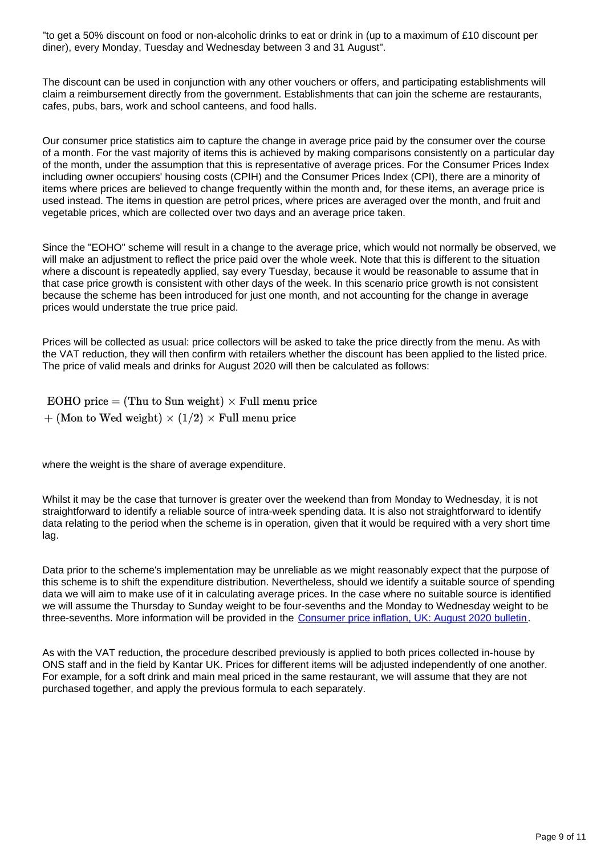"to get a 50% discount on food or non-alcoholic drinks to eat or drink in (up to a maximum of £10 discount per diner), every Monday, Tuesday and Wednesday between 3 and 31 August".

The discount can be used in conjunction with any other vouchers or offers, and participating establishments will claim a reimbursement directly from the government. Establishments that can join the scheme are restaurants, cafes, pubs, bars, work and school canteens, and food halls.

Our consumer price statistics aim to capture the change in average price paid by the consumer over the course of a month. For the vast majority of items this is achieved by making comparisons consistently on a particular day of the month, under the assumption that this is representative of average prices. For the Consumer Prices Index including owner occupiers' housing costs (CPIH) and the Consumer Prices Index (CPI), there are a minority of items where prices are believed to change frequently within the month and, for these items, an average price is used instead. The items in question are petrol prices, where prices are averaged over the month, and fruit and vegetable prices, which are collected over two days and an average price taken.

Since the "EOHO" scheme will result in a change to the average price, which would not normally be observed, we will make an adjustment to reflect the price paid over the whole week. Note that this is different to the situation where a discount is repeatedly applied, say every Tuesday, because it would be reasonable to assume that in that case price growth is consistent with other days of the week. In this scenario price growth is not consistent because the scheme has been introduced for just one month, and not accounting for the change in average prices would understate the true price paid.

Prices will be collected as usual: price collectors will be asked to take the price directly from the menu. As with the VAT reduction, they will then confirm with retailers whether the discount has been applied to the listed price. The price of valid meals and drinks for August 2020 will then be calculated as follows:

EOHO price = (Thu to Sun weight)  $\times$  Full menu price  $+$  (Mon to Wed weight)  $\times$  (1/2)  $\times$  Full menu price

where the weight is the share of average expenditure.

Whilst it may be the case that turnover is greater over the weekend than from Monday to Wednesday, it is not straightforward to identify a reliable source of intra-week spending data. It is also not straightforward to identify data relating to the period when the scheme is in operation, given that it would be required with a very short time lag.

Data prior to the scheme's implementation may be unreliable as we might reasonably expect that the purpose of this scheme is to shift the expenditure distribution. Nevertheless, should we identify a suitable source of spending data we will aim to make use of it in calculating average prices. In the case where no suitable source is identified we will assume the Thursday to Sunday weight to be four-sevenths and the Monday to Wednesday weight to be three-sevenths. More information will be provided in the [Consumer price inflation, UK: August 2020 bulletin.](https://www.ons.gov.uk/releases/consumerpriceinflationukaugust2020)

As with the VAT reduction, the procedure described previously is applied to both prices collected in-house by ONS staff and in the field by Kantar UK. Prices for different items will be adjusted independently of one another. For example, for a soft drink and main meal priced in the same restaurant, we will assume that they are not purchased together, and apply the previous formula to each separately.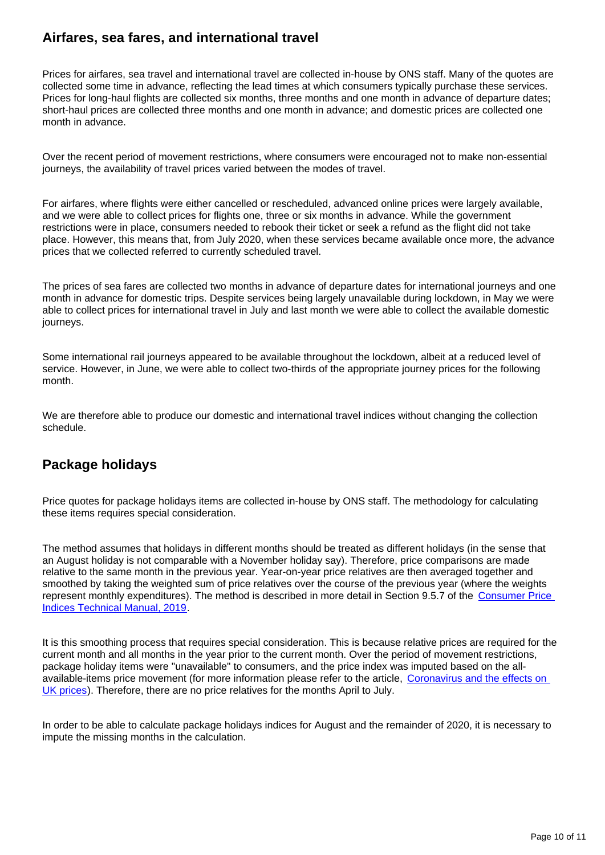#### **Airfares, sea fares, and international travel**

Prices for airfares, sea travel and international travel are collected in-house by ONS staff. Many of the quotes are collected some time in advance, reflecting the lead times at which consumers typically purchase these services. Prices for long-haul flights are collected six months, three months and one month in advance of departure dates; short-haul prices are collected three months and one month in advance; and domestic prices are collected one month in advance.

Over the recent period of movement restrictions, where consumers were encouraged not to make non-essential journeys, the availability of travel prices varied between the modes of travel.

For airfares, where flights were either cancelled or rescheduled, advanced online prices were largely available, and we were able to collect prices for flights one, three or six months in advance. While the government restrictions were in place, consumers needed to rebook their ticket or seek a refund as the flight did not take place. However, this means that, from July 2020, when these services became available once more, the advance prices that we collected referred to currently scheduled travel.

The prices of sea fares are collected two months in advance of departure dates for international journeys and one month in advance for domestic trips. Despite services being largely unavailable during lockdown, in May we were able to collect prices for international travel in July and last month we were able to collect the available domestic journeys.

Some international rail journeys appeared to be available throughout the lockdown, albeit at a reduced level of service. However, in June, we were able to collect two-thirds of the appropriate journey prices for the following month.

We are therefore able to produce our domestic and international travel indices without changing the collection schedule.

#### **Package holidays**

Price quotes for package holidays items are collected in-house by ONS staff. The methodology for calculating these items requires special consideration.

The method assumes that holidays in different months should be treated as different holidays (in the sense that an August holiday is not comparable with a November holiday say). Therefore, price comparisons are made relative to the same month in the previous year. Year-on-year price relatives are then averaged together and smoothed by taking the weighted sum of price relatives over the course of the previous year (where the weights represent monthly expenditures). The method is described in more detail in Section 9.5.7 of the [Consumer Price](https://www.ons.gov.uk/economy/inflationandpriceindices/methodologies/consumerpricesindicestechnicalmanual2019#special-issues-principles-and-procedures)  [Indices Technical Manual, 2019](https://www.ons.gov.uk/economy/inflationandpriceindices/methodologies/consumerpricesindicestechnicalmanual2019#special-issues-principles-and-procedures).

It is this smoothing process that requires special consideration. This is because relative prices are required for the current month and all months in the year prior to the current month. Over the period of movement restrictions, package holiday items were "unavailable" to consumers, and the price index was imputed based on the allavailable-items price movement (for more information please refer to the article, Coronavirus and the effects on [UK prices\)](https://www.ons.gov.uk/economy/inflationandpriceindices/articles/coronavirusandtheeffectsonukprices/2020-05-06). Therefore, there are no price relatives for the months April to July.

In order to be able to calculate package holidays indices for August and the remainder of 2020, it is necessary to impute the missing months in the calculation.